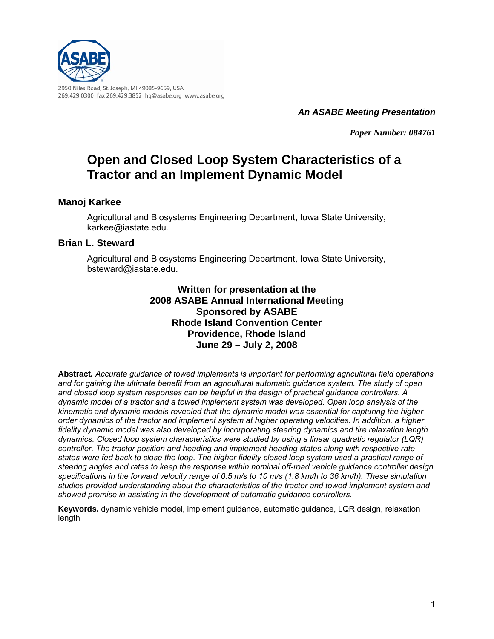

*An ASABE Meeting Presentation*

*Paper Number: 084761*

# **Open and Closed Loop System Characteristics of a Tractor and an Implement Dynamic Model**

### **Manoj Karkee**

Agricultural and Biosystems Engineering Department, Iowa State University, karkee@iastate.edu.

#### **Brian L. Steward**

Agricultural and Biosystems Engineering Department, Iowa State University, bsteward@iastate.edu.

> **Written for presentation at the 2008 ASABE Annual International Meeting Sponsored by ASABE Rhode Island Convention Center Providence, Rhode Island June 29 – July 2, 2008**

**Abstract***. Accurate guidance of towed implements is important for performing agricultural field operations and for gaining the ultimate benefit from an agricultural automatic guidance system. The study of open and closed loop system responses can be helpful in the design of practical guidance controllers. A dynamic model of a tractor and a towed implement system was developed. Open loop analysis of the kinematic and dynamic models revealed that the dynamic model was essential for capturing the higher order dynamics of the tractor and implement system at higher operating velocities. In addition, a higher fidelity dynamic model was also developed by incorporating steering dynamics and tire relaxation length dynamics. Closed loop system characteristics were studied by using a linear quadratic regulator (LQR) controller. The tractor position and heading and implement heading states along with respective rate states were fed back to close the loop. The higher fidelity closed loop system used a practical range of steering angles and rates to keep the response within nominal off-road vehicle guidance controller design specifications in the forward velocity range of 0.5 m/s to 10 m/s (1.8 km/h to 36 km/h). These simulation studies provided understanding about the characteristics of the tractor and towed implement system and showed promise in assisting in the development of automatic guidance controllers.* 

**Keywords.** dynamic vehicle model, implement guidance, automatic guidance, LQR design, relaxation length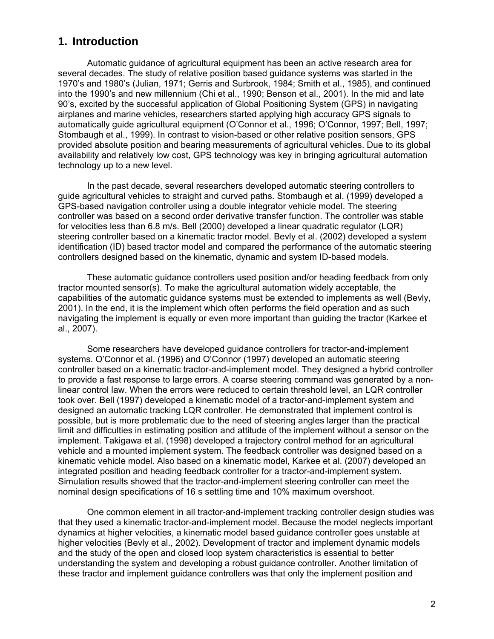## **1. Introduction**

Automatic guidance of agricultural equipment has been an active research area for several decades. The study of relative position based guidance systems was started in the 1970's and 1980's (Julian, 1971; Gerris and Surbrook, 1984; Smith et al., 1985), and continued into the 1990's and new millennium (Chi et al., 1990; Benson et al., 2001). In the mid and late 90's, excited by the successful application of Global Positioning System (GPS) in navigating airplanes and marine vehicles, researchers started applying high accuracy GPS signals to automatically guide agricultural equipment (O'Connor et al., 1996; O'Connor, 1997; Bell, 1997; Stombaugh et al., 1999). In contrast to vision-based or other relative position sensors, GPS provided absolute position and bearing measurements of agricultural vehicles. Due to its global availability and relatively low cost, GPS technology was key in bringing agricultural automation technology up to a new level.

In the past decade, several researchers developed automatic steering controllers to guide agricultural vehicles to straight and curved paths. Stombaugh et al. (1999) developed a GPS-based navigation controller using a double integrator vehicle model. The steering controller was based on a second order derivative transfer function. The controller was stable for velocities less than 6.8 m/s. Bell (2000) developed a linear quadratic regulator (LQR) steering controller based on a kinematic tractor model. Bevly et al. (2002) developed a system identification (ID) based tractor model and compared the performance of the automatic steering controllers designed based on the kinematic, dynamic and system ID-based models.

These automatic guidance controllers used position and/or heading feedback from only tractor mounted sensor(s). To make the agricultural automation widely acceptable, the capabilities of the automatic guidance systems must be extended to implements as well (Bevly, 2001). In the end, it is the implement which often performs the field operation and as such navigating the implement is equally or even more important than guiding the tractor (Karkee et al., 2007).

Some researchers have developed guidance controllers for tractor-and-implement systems. O'Connor et al. (1996) and O'Connor (1997) developed an automatic steering controller based on a kinematic tractor-and-implement model. They designed a hybrid controller to provide a fast response to large errors. A coarse steering command was generated by a nonlinear control law. When the errors were reduced to certain threshold level, an LQR controller took over. Bell (1997) developed a kinematic model of a tractor-and-implement system and designed an automatic tracking LQR controller. He demonstrated that implement control is possible, but is more problematic due to the need of steering angles larger than the practical limit and difficulties in estimating position and attitude of the implement without a sensor on the implement. Takigawa et al. (1998) developed a trajectory control method for an agricultural vehicle and a mounted implement system. The feedback controller was designed based on a kinematic vehicle model. Also based on a kinematic model, Karkee et al. (2007) developed an integrated position and heading feedback controller for a tractor-and-implement system. Simulation results showed that the tractor-and-implement steering controller can meet the nominal design specifications of 16 s settling time and 10% maximum overshoot.

One common element in all tractor-and-implement tracking controller design studies was that they used a kinematic tractor-and-implement model. Because the model neglects important dynamics at higher velocities, a kinematic model based guidance controller goes unstable at higher velocities (Bevly et al., 2002). Development of tractor and implement dynamic models and the study of the open and closed loop system characteristics is essential to better understanding the system and developing a robust guidance controller. Another limitation of these tractor and implement guidance controllers was that only the implement position and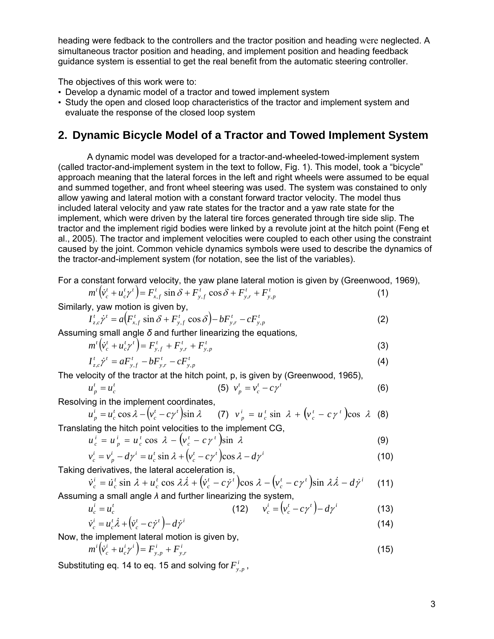heading were fedback to the controllers and the tractor position and heading were neglected. A simultaneous tractor position and heading, and implement position and heading feedback guidance system is essential to get the real benefit from the automatic steering controller.

The objectives of this work were to:

- Develop a dynamic model of a tractor and towed implement system
- Study the open and closed loop characteristics of the tractor and implement system and evaluate the response of the closed loop system

# **2. Dynamic Bicycle Model of a Tractor and Towed Implement System**

A dynamic model was developed for a tractor-and-wheeled-towed-implement system (called tractor-and-implement system in the text to follow, Fig. 1). This model, took a "bicycle" approach meaning that the lateral forces in the left and right wheels were assumed to be equal and summed together, and front wheel steering was used. The system was constained to only allow yawing and lateral motion with a constant forward tractor velocity. The model thus included lateral velocity and yaw rate states for the tractor and a yaw rate state for the implement, which were driven by the lateral tire forces generated through tire side slip. The tractor and the implement rigid bodies were linked by a revolute joint at the hitch point (Feng et al., 2005). The tractor and implement velocities were coupled to each other using the constraint caused by the joint. Common vehicle dynamics symbols were used to describe the dynamics of the tractor-and-implement system (for notation, see the list of the variables).

For a constant forward velocity, the yaw plane lateral motion is given by (Greenwood, 1969),

$$
m^{t}(\dot{v}_{c}^{t} + u_{c}^{t}\gamma^{t}) = F_{x,f}^{t} \sin \delta + F_{y,f}^{t} \cos \delta + F_{y,r}^{t} + F_{y,p}^{t}
$$
(1)

Similarly, yaw motion is given by,

$$
I_{z,c}^t \dot{\gamma}^t = a \Big( F_{x,f}^t \sin \delta + F_{y,f}^t \cos \delta \Big) - b F_{y,r}^t - c F_{y,p}^t \tag{2}
$$

Assuming small angle *δ* and further linearizing the equations*,*

$$
m^{t}\left(\dot{v}_{c}^{t}+u_{c}^{t}\gamma^{t}\right)=F_{y,f}^{t}+F_{y,r}^{t}+F_{y,p}^{t}
$$
\n(3)

$$
I_{z,c}^t \dot{\gamma}^t = a F_{y,f}^t - b F_{y,r}^t - c F_{y,p}^t
$$
 (4)

The velocity of the tractor at the hitch point, p, is given by (Greenwood, 1965),

$$
u_p^t = u_c^t
$$
 (5)  $v_p^t = v_c^t - c\gamma^t$  (6)

Resolving in the implement coordinates,

$$
u_p^i = u_c^t \cos \lambda - \left(v_c^t - c\gamma^t\right) \sin \lambda \qquad (7) \quad v_p^i = u_c^t \sin \lambda + \left(v_c^t - c\gamma^t\right) \cos \lambda \quad (8)
$$
  
Translating the hitch point velocities to the implement CG,

cos  $\lambda - (v_c^t - c\gamma^t)$ sin  $\lambda$ *t i*  $u_c^i = u_p^i = u_c^i \cos \lambda - (v_c^i - c\gamma^i) \sin \lambda$  (9)

$$
u_c = u_p - u_c \cos \lambda - (v_c - c \gamma) \sin \lambda
$$
  
\n
$$
v_c^i = v_p^i - d\gamma^i = u_c^i \sin \lambda + (v_c^i - c\gamma^i) \cos \lambda - d\gamma^i
$$
 (10)

Taking derivatives, the lateral acceleration is,

$$
\dot{v}_c^i = \dot{u}_c^t \sin \lambda + u_c^t \cos \lambda \dot{\lambda} + (\dot{v}_c^t - c\dot{\gamma}^t) \cos \lambda - (v_c^t - c\gamma^t) \sin \lambda \dot{\lambda} - d\dot{\gamma}^i
$$
 (11)  
Assuming a small angle  $\lambda$  and further linearizing the system,

$$
u_c^i = u_c^t
$$
 (12) 
$$
v_c^i = (v_c^t - c\gamma^t) - d\gamma^i
$$
 (13)

$$
\dot{\mathbf{v}}_c^i = \mathbf{u}_c^t \dot{\mathbf{\lambda}} + (\dot{\mathbf{v}}_c^t - c\dot{\mathbf{y}}^t) - d\dot{\mathbf{y}}^i
$$
\n(14)

Now, the implement lateral motion is given by,

$$
m^{i}(\dot{v}_{c}^{i} + u_{c}^{i}\gamma^{i}) = F_{y,p}^{i} + F_{y,r}^{i}
$$
\n(15)

Substituting eq. 14 to eq. 15 and solving for  $F_{y,p}^i$ ,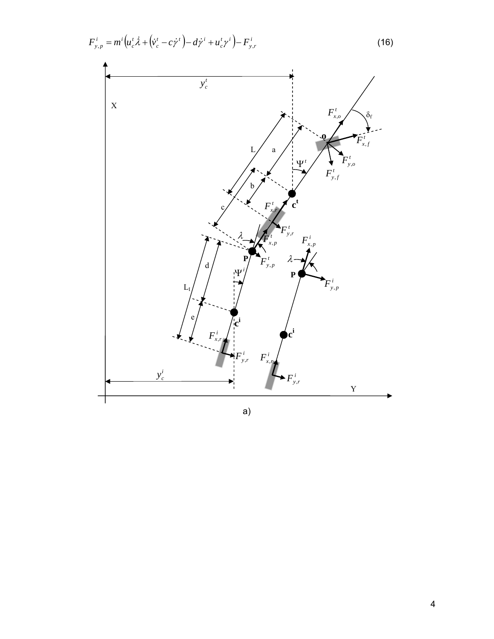$$
F_{y,p}^{i} = m^{i} \left( u_{c}^{t} \dot{\lambda} + (\dot{v}_{c}^{t} - c\dot{\gamma}^{t}) - d\dot{\gamma}^{i} + u_{c}^{t} \gamma^{i} \right) - F_{y,r}^{i}
$$
(16)



a)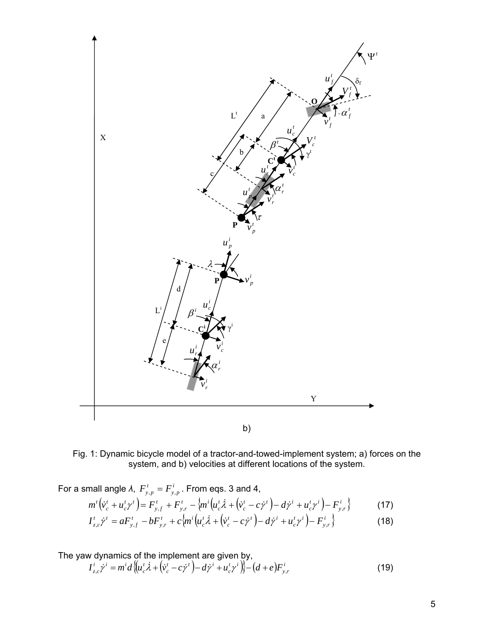

Fig. 1: Dynamic bicycle model of a tractor-and-towed-implement system; a) forces on the system, and b) velocities at different locations of the system.

For a small angle  $λ$ ,  $F_{y,p}^t = F_{y,p}^i$ . From eqs. 3 and 4,

$$
m^{t}(\dot{v}_{c}^{t} + u_{c}^{t}\gamma^{t}) = F_{y,f}^{t} + F_{y,r}^{t} - \{m^{i}(\dot{u}_{c}^{t}\dot{\lambda} + (\dot{v}_{c}^{t} - c\dot{\gamma}^{t}) - d\dot{\gamma}^{i} + u_{c}^{t}\gamma^{i}) - F_{y,r}^{i}\}
$$
(17)

$$
I_{z,c}^t \dot{\gamma}^t = a F_{y,f}^t - b F_{y,r}^t + c \Big\{ m^i \Big( u_c^t \dot{\lambda} + \Big( \dot{v}_c^t - c \dot{\gamma}^t \Big) - d \dot{\gamma}^i + u_c^t \gamma^i \Big) - F_{y,r}^i \Big\} \tag{18}
$$

The yaw dynamics of the implement are given by,

$$
I_{z,c}^i \dot{\gamma}^i = m^i d \left\{ \left( u_c^t \dot{\lambda} + \left( \dot{v}_c^t - c \dot{\gamma}^t \right) - d \dot{\gamma}^i + u_c^t \gamma^i \right) \right\} - \left( d + e \right) F_{y,r}^i \tag{19}
$$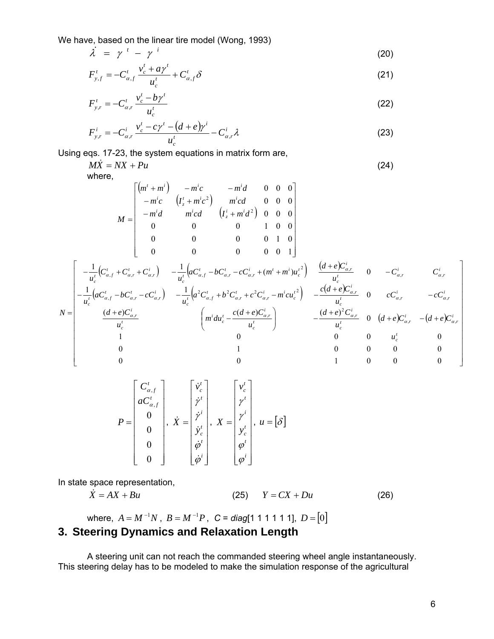We have, based on the linear tire model (Wong, 1993)

$$
\lambda = \gamma^{i} - \gamma^{i} \tag{20}
$$

$$
F_{y,f}^t = -C_{\alpha,f}^t \frac{v_c^t + a\gamma^t}{u_c^t} + C_{\alpha,f}^t \delta \tag{21}
$$

$$
F_{y,r}^{t} = -C_{\alpha,r}^{t} \frac{v_c^{t} - b\gamma^{t}}{u_c^{t}}
$$
 (22)

$$
F_{y,r}^i = -C_{\alpha,r}^i \frac{v_c^t - c\gamma^t - (d+e)\gamma^i}{u_c^t} - C_{\alpha,r}^i \lambda
$$
\n(23)

Using eqs. 17-23, the system equations in matrix form are,

 $M\dot{X} = NX + Pu$  (24)

where,

$$
M = \begin{bmatrix} (m' + m^i) & -m^ic & -m^id & 0 & 0 & 0 \\ -m^ic & (I_z' + m^ic^2) & m^icd & 0 & 0 & 0 \\ -m^id & m^icd & (I_z^i + m^id^2) & 0 & 0 & 0 \\ 0 & 0 & 0 & 1 & 0 & 0 \\ 0 & 0 & 0 & 0 & 0 & 1 \end{bmatrix}
$$
  

$$
M = \begin{bmatrix} -\frac{1}{u_c'}(C_{a,f}^t + C_{a,r}^t + C_{a,r}^i) & -\frac{1}{u_c'}(aC_{a,f}^t - bC_{a,r}^t - cC_{a,r}^i + (m^t + m^i)u_c^{i^2}) & \frac{(d+e)C_{a,r}^i}{u_c^t} & 0 & -C_{a,r}^i & C_{a,r}^i \\ -\frac{1}{u_c^t}(aC_{a,f}^t + C_{a,r}^t + C_{a,r}^i) & -\frac{1}{u_c^t}(aC_{a,f}^t + b^2C_{a,r}^t + c^2C_{a,r}^i + m^i)u_c^{i^2}) & \frac{(d+e)C_{a,r}^i}{u_c^t} & 0 & cC_{a,r}^i & -cC_{a,r}^i \\ -\frac{1}{u_c^t}(aC_{a,f}^t - bC_{a,r}^t - cC_{a,r}^i) & -\frac{1}{u_c^t}(a^2C_{a,f}^t + b^2C_{a,r}^t + c^2C_{a,r}^i - m^icu_c^{i^2}) & -\frac{c(d+e)C_{a,r}^i}{u_c^t} & 0 & cC_{a,r}^i & -cC_{a,r}^i \\ \frac{(d+e)C_{a,r}^i}{u_c^t} & \frac{(m^i du_c^t - \frac{c(d+e)C_{a,r}^i}{u_c^t}) & -\frac{(d+e)^2C_{a,r}^i}{u_c^t} & 0 & (d+e)C_{a,r}^i & -(d+e)C_{a,r}^i \\ 1 & 0 & 0 & 0 & 0 & 0 \\ 0 & 1 & 0 & 0 & 0 & 0 \end{bmatrix}
$$

$$
P = \begin{bmatrix} C_{\alpha,f}^t \\ aC_{\alpha,f}^t \\ 0 \\ 0 \\ 0 \\ 0 \end{bmatrix}, \ \dot{X} = \begin{bmatrix} \dot{v}_c^t \\ \dot{y}^t \\ \dot{v}_c^t \\ \dot{y}_c^t \\ \dot{\phi}^t \end{bmatrix}, \ \ X = \begin{bmatrix} v_c^t \\ v^t \\ v_c^t \\ v_c^t \\ \phi^t \end{bmatrix}, \ u = [\delta]
$$

In state space representation,

$$
\dot{X} = AX + Bu \qquad (25) \qquad Y = CX + Du \qquad (26)
$$

where,  $A = M^{-1}N$ ,  $B = M^{-1}P$ ,  $C = diag[1 \ 1 \ 1 \ 1 \ 1]$ ,  $D = [0]$ 

# **3. Steering Dynamics and Relaxation Length**

A steering unit can not reach the commanded steering wheel angle instantaneously. This steering delay has to be modeled to make the simulation response of the agricultural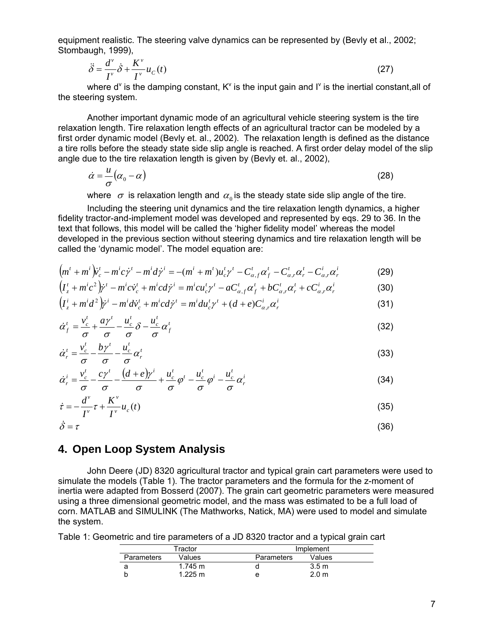equipment realistic. The steering valve dynamics can be represented by (Bevly et al., 2002; Stombaugh, 1999),

$$
\ddot{\delta} = \frac{d^{\nu}}{I^{\nu}} \dot{\delta} + \frac{K^{\nu}}{I^{\nu}} u_C(t)
$$
\n(27)

where d<sup>v</sup> is the damping constant,  $K^v$  is the input gain and  $I^v$  is the inertial constant, all of the steering system.

Another important dynamic mode of an agricultural vehicle steering system is the tire relaxation length. Tire relaxation length effects of an agricultural tractor can be modeled by a first order dynamic model (Bevly et. al., 2002). The relaxation length is defined as the distance a tire rolls before the steady state side slip angle is reached. A first order delay model of the slip angle due to the tire relaxation length is given by (Bevly et. al., 2002),

$$
\dot{\alpha} = -\frac{u}{\sigma}(\alpha_0 - \alpha) \tag{28}
$$

where  $\sigma$  is relaxation length and  $\alpha_0$  is the steady state side slip angle of the tire.

Including the steering unit dynamics and the tire relaxation length dynamics, a higher fidelity tractor-and-implement model was developed and represented by eqs. 29 to 36. In the text that follows, this model will be called the 'higher fidelity model' whereas the model developed in the previous section without steering dynamics and tire relaxation length will be called the 'dynamic model'. The model equation are:

$$
(m^{t} + m^{i})\dot{v}_{c}^{t} - m^{i}c\dot{\gamma}^{t} - m^{i}d\dot{\gamma}^{i} = -(m^{i} + m^{t})u_{c}^{t}\gamma^{t} - C_{\alpha,f}^{t}\alpha_{f}^{t} - C_{\alpha,r}^{t}\alpha_{r}^{t} - C_{\alpha,r}^{i}\alpha_{r}^{i}
$$
(29)

$$
\left(I_z^t + m^ic^2\right)\dot{\gamma}^t - m^ic\dot{\gamma}_c^t + m^icd\dot{\gamma}^i = m^icu_c^t\gamma^t - aC_{\alpha,f}^t\alpha_f^t + bC_{\alpha,r}^t\alpha_r^t + cC_{\alpha,r}^i\alpha_r^i
$$
\n(30)

$$
\left(I_z^i + m^i d^2\right) \dot{\gamma}^i - m^i d\dot{\gamma}_c^i + m^i c d\dot{\gamma}^i = m^i du_c^i \gamma^i + (d + e) C_{\alpha,r}^i \alpha_r^i \tag{31}
$$

$$
\dot{\alpha}_f^t = \frac{v_c^t}{\sigma} + \frac{a\gamma^t}{\sigma} - \frac{u_c^t}{\sigma} \delta - \frac{u_c^t}{\sigma} \alpha_f^t \tag{32}
$$

$$
\dot{\alpha}_r^t = \frac{v_c^t}{\sigma} - \frac{b\gamma^t}{\sigma} - \frac{u_c^t}{\sigma} \alpha_r^t
$$
\n(33)

$$
\dot{\alpha}_r^i = \frac{v_c^t}{\sigma} - \frac{c\gamma^t}{\sigma} - \frac{(d+e)\gamma^i}{\sigma} + \frac{u_c^t}{\sigma}\varphi^i - \frac{u_c^t}{\sigma}\varphi^i - \frac{u_c^t}{\sigma}\alpha_r^i
$$
\n(34)

$$
\dot{\tau} = -\frac{d^{\nu}}{I^{\nu}} \tau + \frac{K^{\nu}}{I^{\nu}} u_c(t)
$$
\n(35)

$$
\dot{\delta} = \tau \tag{36}
$$

### **4. Open Loop System Analysis**

John Deere (JD) 8320 agricultural tractor and typical grain cart parameters were used to simulate the models (Table 1). The tractor parameters and the formula for the z-moment of inertia were adapted from Bosserd (2007). The grain cart geometric parameters were measured using a three dimensional geometric model, and the mass was estimated to be a full load of corn. MATLAB and SIMULINK (The Mathworks, Natick, MA) were used to model and simulate the system.

Table 1: Geometric and tire parameters of a JD 8320 tractor and a typical grain cart

| Tractor    |                   | Implement  |                  |  |
|------------|-------------------|------------|------------------|--|
| Parameters | Values            | Parameters | Values           |  |
|            | $1.745 \text{ m}$ |            | 3.5 <sub>m</sub> |  |
|            | $1.225 \text{ m}$ |            | 2.0 <sub>m</sub> |  |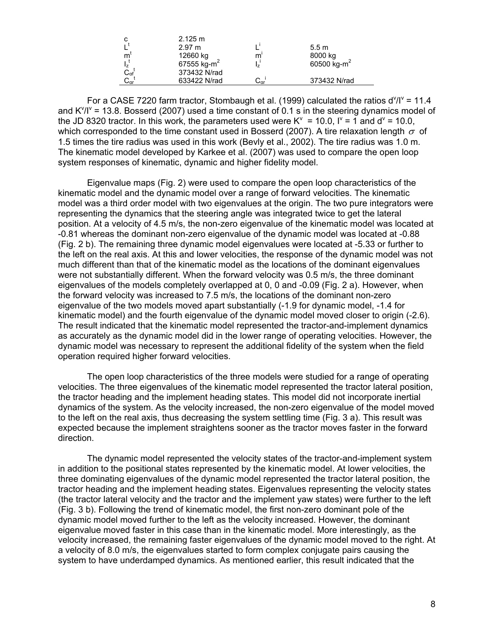|                                                      | 2.125 m                 |                              |                         |
|------------------------------------------------------|-------------------------|------------------------------|-------------------------|
|                                                      | 2.97 m                  |                              | 5.5 m                   |
| m                                                    | 12660 kg                | m                            | 8000 kg                 |
|                                                      | 67555 kg-m <sup>2</sup> |                              | 60500 kg-m <sup>2</sup> |
|                                                      | 373432 N/rad            |                              |                         |
| ι <sub>z</sub><br>C <sub>αf</sub><br>C <sub>αr</sub> | 633422 N/rad            | $\mathsf{C}_{\mathsf{ar}}$ . | 373432 N/rad            |

For a CASE 7220 farm tractor, Stombaugh et al. (1999) calculated the ratios  $d^{\vee}/l^{\vee} = 11.4$ and  $K^{\gamma}/I^{\gamma}$  = 13.8. Bosserd (2007) used a time constant of 0.1 s in the steering dynamics model of the JD 8320 tractor. In this work, the parameters used were  $K^v = 10.0$ ,  $I^v = 1$  and  $d^v = 10.0$ , which corresponded to the time constant used in Bosserd (2007). A tire relaxation length  $\sigma$  of 1.5 times the tire radius was used in this work (Bevly et al., 2002). The tire radius was 1.0 m. The kinematic model developed by Karkee et al. (2007) was used to compare the open loop system responses of kinematic, dynamic and higher fidelity model.

Eigenvalue maps (Fig. 2) were used to compare the open loop characteristics of the kinematic model and the dynamic model over a range of forward velocities. The kinematic model was a third order model with two eigenvalues at the origin. The two pure integrators were representing the dynamics that the steering angle was integrated twice to get the lateral position. At a velocity of 4.5 m/s, the non-zero eigenvalue of the kinematic model was located at -0.81 whereas the dominant non-zero eigenvalue of the dynamic model was located at -0.88 (Fig. 2 b). The remaining three dynamic model eigenvalues were located at -5.33 or further to the left on the real axis. At this and lower velocities, the response of the dynamic model was not much different than that of the kinematic model as the locations of the dominant eigenvalues were not substantially different. When the forward velocity was 0.5 m/s, the three dominant eigenvalues of the models completely overlapped at 0, 0 and -0.09 (Fig. 2 a). However, when the forward velocity was increased to 7.5 m/s, the locations of the dominant non-zero eigenvalue of the two models moved apart substantially (-1.9 for dynamic model, -1.4 for kinematic model) and the fourth eigenvalue of the dynamic model moved closer to origin (-2.6). The result indicated that the kinematic model represented the tractor-and-implement dynamics as accurately as the dynamic model did in the lower range of operating velocities. However, the dynamic model was necessary to represent the additional fidelity of the system when the field operation required higher forward velocities.

The open loop characteristics of the three models were studied for a range of operating velocities. The three eigenvalues of the kinematic model represented the tractor lateral position, the tractor heading and the implement heading states. This model did not incorporate inertial dynamics of the system. As the velocity increased, the non-zero eigenvalue of the model moved to the left on the real axis, thus decreasing the system settling time (Fig. 3 a). This result was expected because the implement straightens sooner as the tractor moves faster in the forward direction.

The dynamic model represented the velocity states of the tractor-and-implement system in addition to the positional states represented by the kinematic model. At lower velocities, the three dominating eigenvalues of the dynamic model represented the tractor lateral position, the tractor heading and the implement heading states. Eigenvalues representing the velocity states (the tractor lateral velocity and the tractor and the implement yaw states) were further to the left (Fig. 3 b). Following the trend of kinematic model, the first non-zero dominant pole of the dynamic model moved further to the left as the velocity increased. However, the dominant eigenvalue moved faster in this case than in the kinematic model. More interestingly, as the velocity increased, the remaining faster eigenvalues of the dynamic model moved to the right. At a velocity of 8.0 m/s, the eigenvalues started to form complex conjugate pairs causing the system to have underdamped dynamics. As mentioned earlier, this result indicated that the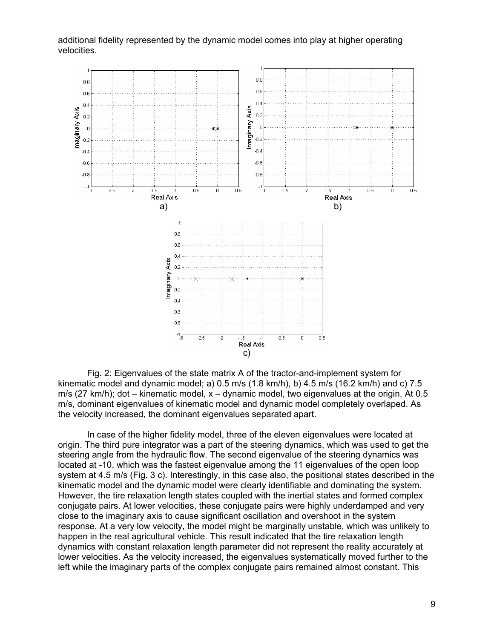additional fidelity represented by the dynamic model comes into play at higher operating velocities.



Fig. 2: Eigenvalues of the state matrix A of the tractor-and-implement system for kinematic model and dynamic model; a)  $0.5$  m/s  $(1.8 \text{ km/h})$ , b)  $4.5$  m/s  $(16.2 \text{ km/h})$  and c)  $7.5$ m/s (27 km/h); dot – kinematic model, x – dynamic model, two eigenvalues at the origin. At 0.5 m/s, dominant eigenvalues of kinematic model and dynamic model completely overlaped. As the velocity increased, the dominant eigenvalues separated apart.

In case of the higher fidelity model, three of the eleven eigenvalues were located at origin. The third pure integrator was a part of the steering dynamics, which was used to get the steering angle from the hydraulic flow. The second eigenvalue of the steering dynamics was located at -10, which was the fastest eigenvalue among the 11 eigenvalues of the open loop system at 4.5 m/s (Fig. 3 c). Interestingly, in this case also, the positional states described in the kinematic model and the dynamic model were clearly identifiable and dominating the system. However, the tire relaxation length states coupled with the inertial states and formed complex conjugate pairs. At lower velocities, these conjugate pairs were highly underdamped and very close to the imaginary axis to cause significant oscillation and overshoot in the system response. At a very low velocity, the model might be marginally unstable, which was unlikely to happen in the real agricultural vehicle. This result indicated that the tire relaxation length dynamics with constant relaxation length parameter did not represent the reality accurately at lower velocities. As the velocity increased, the eigenvalues systematically moved further to the left while the imaginary parts of the complex conjugate pairs remained almost constant. This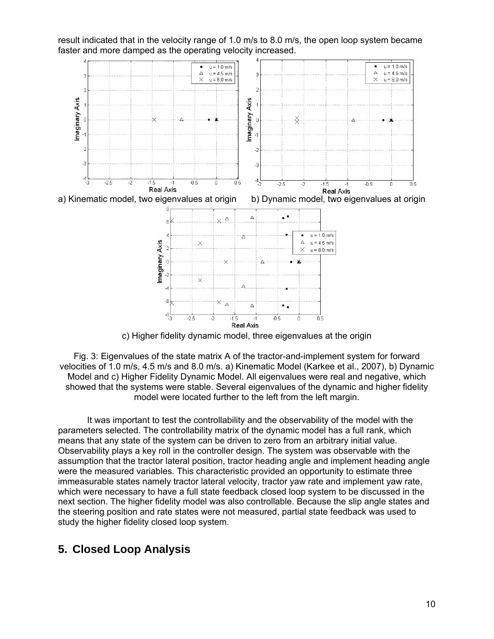

result indicated that in the velocity range of 1.0 m/s to 8.0 m/s, the open loop system became faster and more damped as the operating velocity increased.

c) Higher fidelity dynamic model, three eigenvalues at the origin

Fig. 3: Eigenvalues of the state matrix A of the tractor-and-implement system for forward velocities of 1.0 m/s, 4.5 m/s and 8.0 m/s. a) Kinematic Model (Karkee et al., 2007), b) Dynamic Model and c) Higher Fidelity Dynamic Model. All eigenvalues were real and negative, which showed that the systems were stable. Several eigenvalues of the dynamic and higher fidelity model were located further to the left from the left margin.

It was important to test the controllability and the observability of the model with the parameters selected. The controllability matrix of the dynamic model has a full rank, which means that any state of the system can be driven to zero from an arbitrary initial value. Observability plays a key roll in the controller design. The system was observable with the assumption that the tractor lateral position, tractor heading angle and implement heading angle were the measured variables. This characteristic provided an opportunity to estimate three immeasurable states namely tractor lateral velocity, tractor yaw rate and implement yaw rate, which were necessary to have a full state feedback closed loop system to be discussed in the next section. The higher fidelity model was also controllable. Because the slip angle states and the steering position and rate states were not measured, partial state feedback was used to study the higher fidelity closed loop system.

# **5. Closed Loop Analysis**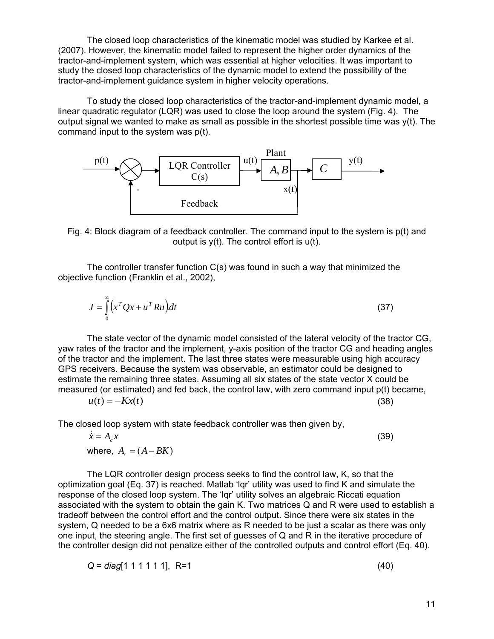The closed loop characteristics of the kinematic model was studied by Karkee et al. (2007). However, the kinematic model failed to represent the higher order dynamics of the tractor-and-implement system, which was essential at higher velocities. It was important to study the closed loop characteristics of the dynamic model to extend the possibility of the tractor-and-implement guidance system in higher velocity operations.

To study the closed loop characteristics of the tractor-and-implement dynamic model, a linear quadratic regulator (LQR) was used to close the loop around the system (Fig. 4). The output signal we wanted to make as small as possible in the shortest possible time was  $y(t)$ . The command input to the system was p(t).



Fig. 4: Block diagram of a feedback controller. The command input to the system is p(t) and output is  $y(t)$ . The control effort is  $u(t)$ .

The controller transfer function C(s) was found in such a way that minimized the objective function (Franklin et al., 2002),

$$
J = \int_{0}^{\infty} \left( x^T Q x + u^T R u \right) dt
$$
 (37)

The state vector of the dynamic model consisted of the lateral velocity of the tractor CG, yaw rates of the tractor and the implement, y-axis position of the tractor CG and heading angles of the tractor and the implement. The last three states were measurable using high accuracy GPS receivers. Because the system was observable, an estimator could be designed to estimate the remaining three states. Assuming all six states of the state vector X could be measured (or estimated) and fed back, the control law, with zero command input p(t) became,

 $u(t) = -Kx(t)$  (38)

The closed loop system with state feedback controller was then given by,

$$
\dot{\overline{x}} = A_c x
$$
\nwhere,  $A_c = (A - BK)$  (39)

The LQR controller design process seeks to find the control law, K, so that the optimization goal (Eq. 37) is reached. Matlab 'lqr' utility was used to find K and simulate the response of the closed loop system. The 'lqr' utility solves an algebraic Riccati equation associated with the system to obtain the gain K. Two matrices Q and R were used to establish a tradeoff between the control effort and the control output. Since there were six states in the system, Q needed to be a 6x6 matrix where as R needed to be just a scalar as there was only one input, the steering angle. The first set of guesses of Q and R in the iterative procedure of the controller design did not penalize either of the controlled outputs and control effort (Eq. 40).

$$
Q = diag[1 \ 1 \ 1 \ 1 \ 1 \ 1], \quad R = 1
$$
\n(40)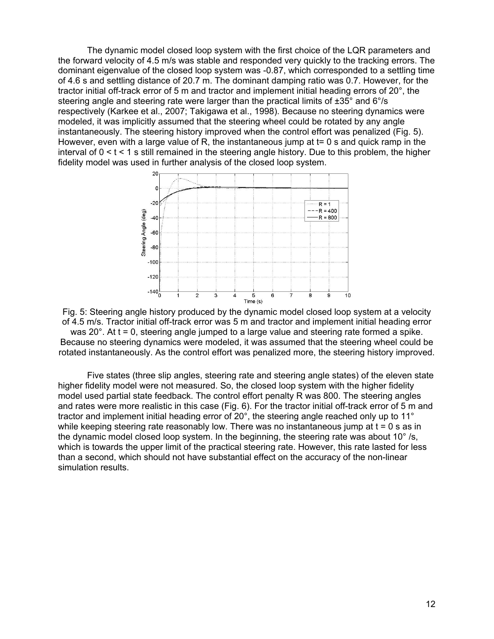The dynamic model closed loop system with the first choice of the LQR parameters and the forward velocity of 4.5 m/s was stable and responded very quickly to the tracking errors. The dominant eigenvalue of the closed loop system was -0.87, which corresponded to a settling time of 4.6 s and settling distance of 20.7 m. The dominant damping ratio was 0.7. However, for the tractor initial off-track error of 5 m and tractor and implement initial heading errors of 20°, the steering angle and steering rate were larger than the practical limits of ±35° and 6°/s respectively (Karkee et al., 2007; Takigawa et al., 1998). Because no steering dynamics were modeled, it was implicitly assumed that the steering wheel could be rotated by any angle instantaneously. The steering history improved when the control effort was penalized (Fig. 5). However, even with a large value of R, the instantaneous jump at t= 0 s and quick ramp in the interval of  $0 < t < 1$  s still remained in the steering angle history. Due to this problem, the higher fidelity model was used in further analysis of the closed loop system.



Fig. 5: Steering angle history produced by the dynamic model closed loop system at a velocity of 4.5 m/s. Tractor initial off-track error was 5 m and tractor and implement initial heading error was 20°. At t = 0, steering angle jumped to a large value and steering rate formed a spike. Because no steering dynamics were modeled, it was assumed that the steering wheel could be rotated instantaneously. As the control effort was penalized more, the steering history improved.

Five states (three slip angles, steering rate and steering angle states) of the eleven state higher fidelity model were not measured. So, the closed loop system with the higher fidelity model used partial state feedback. The control effort penalty R was 800. The steering angles and rates were more realistic in this case (Fig. 6). For the tractor initial off-track error of 5 m and tractor and implement initial heading error of 20°, the steering angle reached only up to 11° while keeping steering rate reasonably low. There was no instantaneous jump at  $t = 0$  s as in the dynamic model closed loop system. In the beginning, the steering rate was about 10° /s, which is towards the upper limit of the practical steering rate. However, this rate lasted for less than a second, which should not have substantial effect on the accuracy of the non-linear simulation results.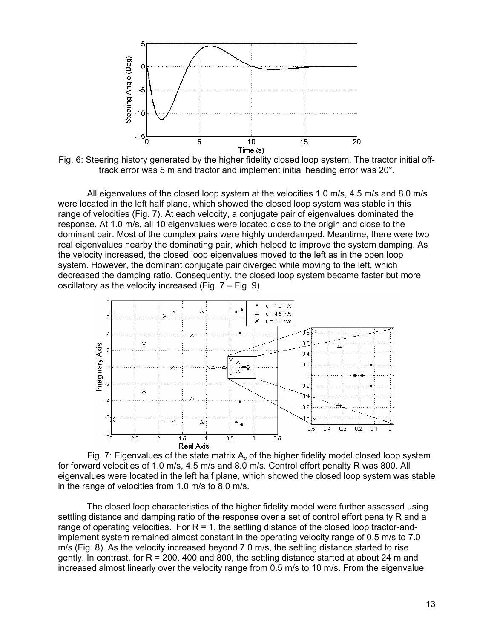

Fig. 6: Steering history generated by the higher fidelity closed loop system. The tractor initial offtrack error was 5 m and tractor and implement initial heading error was 20°.

All eigenvalues of the closed loop system at the velocities 1.0 m/s, 4.5 m/s and 8.0 m/s were located in the left half plane, which showed the closed loop system was stable in this range of velocities (Fig. 7). At each velocity, a conjugate pair of eigenvalues dominated the response. At 1.0 m/s, all 10 eigenvalues were located close to the origin and close to the dominant pair. Most of the complex pairs were highly underdamped. Meantime, there were two real eigenvalues nearby the dominating pair, which helped to improve the system damping. As the velocity increased, the closed loop eigenvalues moved to the left as in the open loop system. However, the dominant conjugate pair diverged while moving to the left, which decreased the damping ratio. Consequently, the closed loop system became faster but more oscillatory as the velocity increased (Fig. 7 – Fig. 9).



Fig. 7: Eigenvalues of the state matrix  $A_c$  of the higher fidelity model closed loop system for forward velocities of 1.0 m/s, 4.5 m/s and 8.0 m/s. Control effort penalty R was 800. All eigenvalues were located in the left half plane, which showed the closed loop system was stable in the range of velocities from 1.0 m/s to 8.0 m/s.

The closed loop characteristics of the higher fidelity model were further assessed using settling distance and damping ratio of the response over a set of control effort penalty R and a range of operating velocities. For  $R = 1$ , the settling distance of the closed loop tractor-andimplement system remained almost constant in the operating velocity range of 0.5 m/s to 7.0 m/s (Fig. 8). As the velocity increased beyond 7.0 m/s, the settling distance started to rise gently. In contrast, for  $R = 200$ , 400 and 800, the settling distance started at about 24 m and increased almost linearly over the velocity range from 0.5 m/s to 10 m/s. From the eigenvalue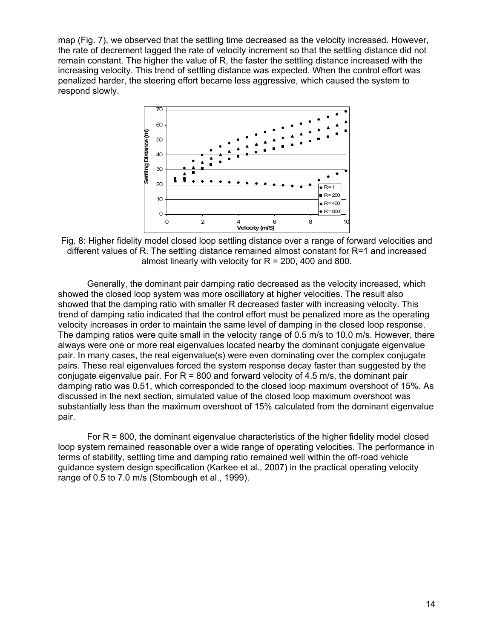map (Fig. 7), we observed that the settling time decreased as the velocity increased. However, the rate of decrement lagged the rate of velocity increment so that the settling distance did not remain constant. The higher the value of R, the faster the settling distance increased with the increasing velocity. This trend of settling distance was expected. When the control effort was penalized harder, the steering effort became less aggressive, which caused the system to respond slowly.



Fig. 8: Higher fidelity model closed loop settling distance over a range of forward velocities and different values of R. The settling distance remained almost constant for R=1 and increased almost linearly with velocity for  $R = 200$ , 400 and 800.

Generally, the dominant pair damping ratio decreased as the velocity increased, which showed the closed loop system was more oscillatory at higher velocities. The result also showed that the damping ratio with smaller R decreased faster with increasing velocity. This trend of damping ratio indicated that the control effort must be penalized more as the operating velocity increases in order to maintain the same level of damping in the closed loop response. The damping ratios were quite small in the velocity range of 0.5 m/s to 10.0 m/s. However, there always were one or more real eigenvalues located nearby the dominant conjugate eigenvalue pair. In many cases, the real eigenvalue(s) were even dominating over the complex conjugate pairs. These real eigenvalues forced the system response decay faster than suggested by the conjugate eigenvalue pair. For  $R = 800$  and forward velocity of 4.5 m/s, the dominant pair damping ratio was 0.51, which corresponded to the closed loop maximum overshoot of 15%. As discussed in the next section, simulated value of the closed loop maximum overshoot was substantially less than the maximum overshoot of 15% calculated from the dominant eigenvalue pair.

For  $R = 800$ , the dominant eigenvalue characteristics of the higher fidelity model closed loop system remained reasonable over a wide range of operating velocities. The performance in terms of stability, settling time and damping ratio remained well within the off-road vehicle guidance system design specification (Karkee et al., 2007) in the practical operating velocity range of 0.5 to 7.0 m/s (Stombough et al., 1999).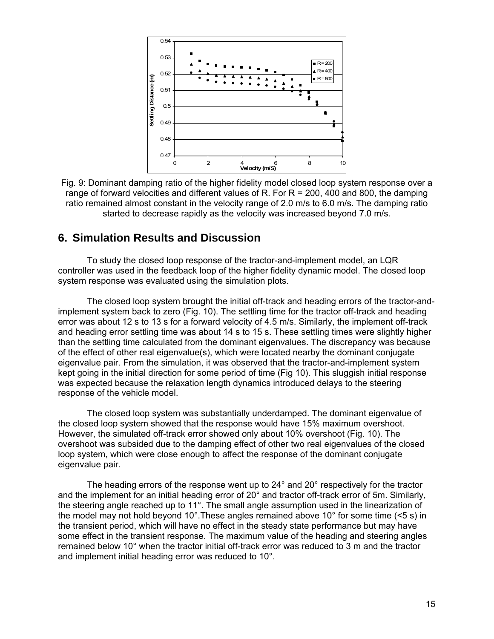

Fig. 9: Dominant damping ratio of the higher fidelity model closed loop system response over a range of forward velocities and different values of R. For R = 200, 400 and 800, the damping ratio remained almost constant in the velocity range of 2.0 m/s to 6.0 m/s. The damping ratio started to decrease rapidly as the velocity was increased beyond 7.0 m/s.

### **6. Simulation Results and Discussion**

To study the closed loop response of the tractor-and-implement model, an LQR controller was used in the feedback loop of the higher fidelity dynamic model. The closed loop system response was evaluated using the simulation plots.

The closed loop system brought the initial off-track and heading errors of the tractor-andimplement system back to zero (Fig. 10). The settling time for the tractor off-track and heading error was about 12 s to 13 s for a forward velocity of 4.5 m/s. Similarly, the implement off-track and heading error settling time was about 14 s to 15 s. These settling times were slightly higher than the settling time calculated from the dominant eigenvalues. The discrepancy was because of the effect of other real eigenvalue(s), which were located nearby the dominant conjugate eigenvalue pair. From the simulation, it was observed that the tractor-and-implement system kept going in the initial direction for some period of time (Fig 10). This sluggish initial response was expected because the relaxation length dynamics introduced delays to the steering response of the vehicle model.

The closed loop system was substantially underdamped. The dominant eigenvalue of the closed loop system showed that the response would have 15% maximum overshoot. However, the simulated off-track error showed only about 10% overshoot (Fig. 10). The overshoot was subsided due to the damping effect of other two real eigenvalues of the closed loop system, which were close enough to affect the response of the dominant conjugate eigenvalue pair.

The heading errors of the response went up to 24° and 20° respectively for the tractor and the implement for an initial heading error of 20° and tractor off-track error of 5m. Similarly, the steering angle reached up to 11°. The small angle assumption used in the linearization of the model may not hold beyond 10°. These angles remained above 10° for some time  $($ <5 s) in the transient period, which will have no effect in the steady state performance but may have some effect in the transient response. The maximum value of the heading and steering angles remained below 10° when the tractor initial off-track error was reduced to 3 m and the tractor and implement initial heading error was reduced to 10°.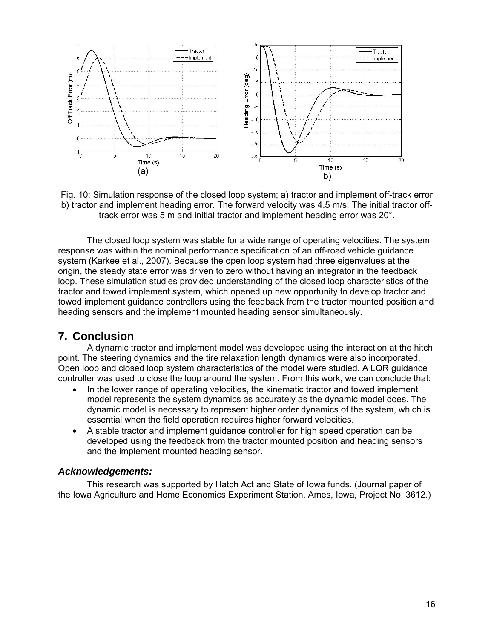

Fig. 10: Simulation response of the closed loop system; a) tractor and implement off-track error b) tractor and implement heading error. The forward velocity was 4.5 m/s. The initial tractor offtrack error was 5 m and initial tractor and implement heading error was 20°.

The closed loop system was stable for a wide range of operating velocities. The system response was within the nominal performance specification of an off-road vehicle guidance system (Karkee et al., 2007). Because the open loop system had three eigenvalues at the origin, the steady state error was driven to zero without having an integrator in the feedback loop. These simulation studies provided understanding of the closed loop characteristics of the tractor and towed implement system, which opened up new opportunity to develop tractor and towed implement guidance controllers using the feedback from the tractor mounted position and heading sensors and the implement mounted heading sensor simultaneously.

## **7. Conclusion**

A dynamic tractor and implement model was developed using the interaction at the hitch point. The steering dynamics and the tire relaxation length dynamics were also incorporated. Open loop and closed loop system characteristics of the model were studied. A LQR guidance controller was used to close the loop around the system. From this work, we can conclude that:

- In the lower range of operating velocities, the kinematic tractor and towed implement model represents the system dynamics as accurately as the dynamic model does. The dynamic model is necessary to represent higher order dynamics of the system, which is essential when the field operation requires higher forward velocities.
- A stable tractor and implement guidance controller for high speed operation can be developed using the feedback from the tractor mounted position and heading sensors and the implement mounted heading sensor.

#### *Acknowledgements:*

This research was supported by Hatch Act and State of Iowa funds. (Journal paper of the Iowa Agriculture and Home Economics Experiment Station, Ames, Iowa, Project No. 3612.)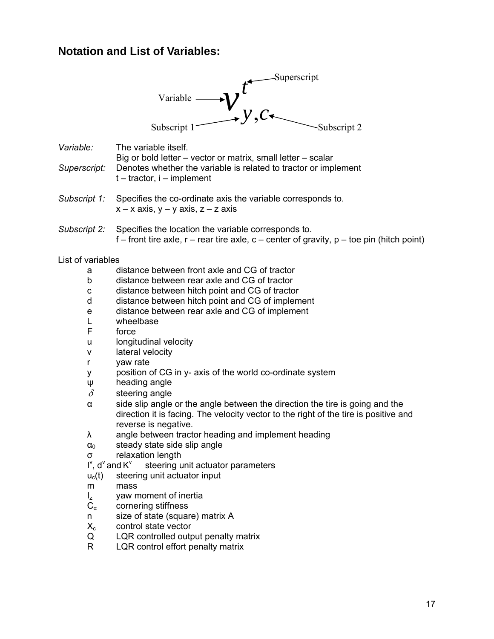# **Notation and List of Variables:**

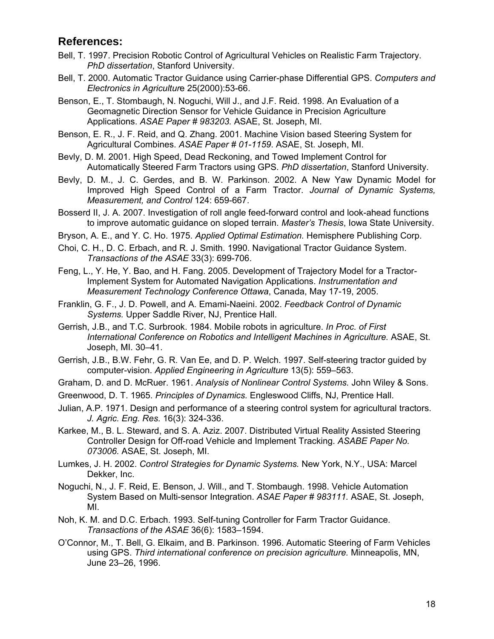### **References:**

- Bell, T. 1997. Precision Robotic Control of Agricultural Vehicles on Realistic Farm Trajectory. *PhD dissertation*, Stanford University.
- Bell, T. 2000. Automatic Tractor Guidance using Carrier-phase Differential GPS. *Computers and Electronics in Agricultur*e 25(2000):53-66.
- Benson, E., T. Stombaugh, N. Noguchi, Will J., and J.F. Reid. 1998. An Evaluation of a Geomagnetic Direction Sensor for Vehicle Guidance in Precision Agriculture Applications. *ASAE Paper # 983203.* ASAE, St. Joseph, MI.
- Benson, E. R., J. F. Reid, and Q. Zhang. 2001. Machine Vision based Steering System for Agricultural Combines. *ASAE Paper # 01-1159*. ASAE, St. Joseph, MI.
- Bevly, D. M. 2001. High Speed, Dead Reckoning, and Towed Implement Control for Automatically Steered Farm Tractors using GPS. *PhD dissertation*, Stanford University.
- Bevly, D. M., J. C. Gerdes, and B. W. Parkinson. 2002. A New Yaw Dynamic Model for Improved High Speed Control of a Farm Tractor. *Journal of Dynamic Systems, Measurement, and Control* 124: 659-667.
- Bosserd II, J. A. 2007. Investigation of roll angle feed-forward control and look-ahead functions to improve automatic guidance on sloped terrain. *Master's Thesis*, Iowa State University.
- Bryson, A. E., and Y. C. Ho. 1975. *Applied Optimal Estimation.* Hemisphere Publishing Corp.
- Choi, C. H., D. C. Erbach, and R. J. Smith. 1990. Navigational Tractor Guidance System. *Transactions of the ASAE* 33(3): 699-706.
- Feng, L., Y. He, Y. Bao, and H. Fang. 2005. Development of Trajectory Model for a Tractor-Implement System for Automated Navigation Applications. *Instrumentation and Measurement Technology Conference Ottawa*, Canada, May 17-19, 2005.
- Franklin, G. F., J. D. Powell, and A. Emami-Naeini. 2002. *Feedback Control of Dynamic Systems.* Upper Saddle River, NJ, Prentice Hall.
- Gerrish, J.B., and T.C. Surbrook. 1984. Mobile robots in agriculture. *In Proc. of First International Conference on Robotics and Intelligent Machines in Agriculture.* ASAE, St. Joseph, MI. 30–41.
- Gerrish, J.B., B.W. Fehr, G. R. Van Ee, and D. P. Welch. 1997. Self-steering tractor guided by computer-vision. *Applied Engineering in Agriculture* 13(5): 559–563.
- Graham, D. and D. McRuer. 1961. *Analysis of Nonlinear Control Systems.* John Wiley & Sons.
- Greenwood, D. T. 1965. *Principles of Dynamics.* Engleswood Cliffs, NJ, Prentice Hall.
- Julian, A.P. 1971. Design and performance of a steering control system for agricultural tractors. *J. Agric. Eng. Res.* 16(3): 324-336.
- Karkee, M., B. L. Steward, and S. A. Aziz. 2007. Distributed Virtual Reality Assisted Steering Controller Design for Off-road Vehicle and Implement Tracking. *ASABE Paper No. 073006.* ASAE, St. Joseph, MI.
- Lumkes, J. H. 2002. *Control Strategies for Dynamic Systems.* New York, N.Y., USA: Marcel Dekker, Inc.
- Noguchi, N., J. F. Reid, E. Benson, J. Will., and T. Stombaugh. 1998. Vehicle Automation System Based on Multi-sensor Integration. *ASAE Paper # 983111.* ASAE, St. Joseph, MI.
- Noh, K. M. and D.C. Erbach. 1993. Self-tuning Controller for Farm Tractor Guidance. *Transactions of the ASAE* 36(6): 1583–1594.
- O'Connor, M., T. Bell, G. Elkaim, and B. Parkinson. 1996. Automatic Steering of Farm Vehicles using GPS. *Third international conference on precision agriculture.* Minneapolis, MN, June 23–26, 1996.